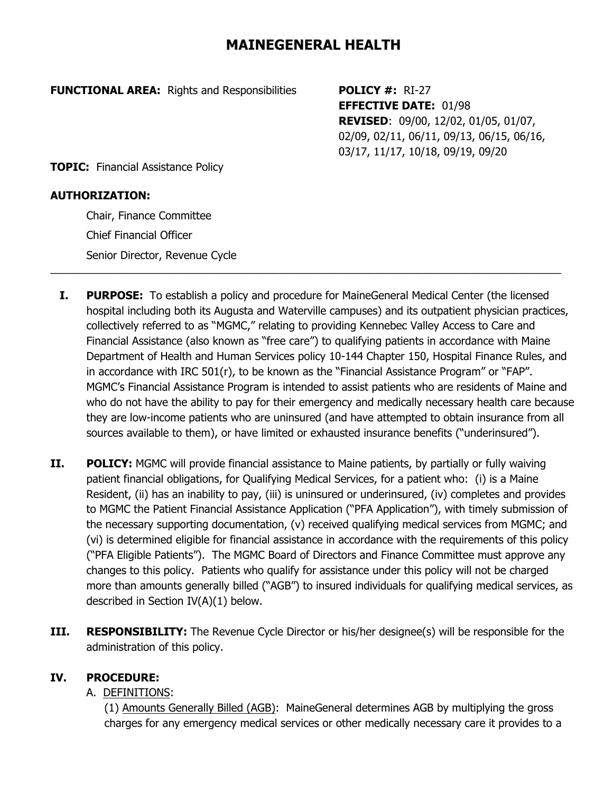# **MAINEGENERAL HEALTH**

**FUNCTIONAL AREA:** Rights and Responsibilities **POLICY #:** RI-27

**EFFECTIVE DATE:** 01/98 **REVISED**: 09/00, 12/02, 01/05, 01/07, 02/09, 02/11, 06/11, 09/13, 06/15, 06/16, 03/17, 11/17, 10/18, 09/19, 09/20

**TOPIC:** Financial Assistance Policy

#### **AUTHORIZATION:**

Chair, Finance Committee Chief Financial Officer Senior Director, Revenue Cycle

**I. PURPOSE:** To establish a policy and procedure for MaineGeneral Medical Center (the licensed hospital including both its Augusta and Waterville campuses) and its outpatient physician practices, collectively referred to as "MGMC," relating to providing Kennebec Valley Access to Care and Financial Assistance (also known as "free care") to qualifying patients in accordance with Maine Department of Health and Human Services policy 10-144 Chapter 150, Hospital Finance Rules, and in accordance with IRC 501(r), to be known as the "Financial Assistance Program" or "FAP". MGMC's Financial Assistance Program is intended to assist patients who are residents of Maine and who do not have the ability to pay for their emergency and medically necessary health care because they are low-income patients who are uninsured (and have attempted to obtain insurance from all sources available to them), or have limited or exhausted insurance benefits ("underinsured").

 $\_$  , and the set of the set of the set of the set of the set of the set of the set of the set of the set of the set of the set of the set of the set of the set of the set of the set of the set of the set of the set of th

- **II.** POLICY: MGMC will provide financial assistance to Maine patients, by partially or fully waiving patient financial obligations, for Qualifying Medical Services, for a patient who: (i) is a Maine Resident, (ii) has an inability to pay, (iii) is uninsured or underinsured, (iv) completes and provides to MGMC the Patient Financial Assistance Application ("PFA Application"), with timely submission of the necessary supporting documentation, (v) received qualifying medical services from MGMC; and (vi) is determined eligible for financial assistance in accordance with the requirements of this policy ("PFA Eligible Patients"). The MGMC Board of Directors and Finance Committee must approve any changes to this policy. Patients who qualify for assistance under this policy will not be charged more than amounts generally billed ("AGB") to insured individuals for qualifying medical services, as described in Section IV(A)(1) below.
- **III.** RESPONSIBILITY: The Revenue Cycle Director or his/her designee(s) will be responsible for the administration of this policy.

#### **IV. PROCEDURE:**

#### A. DEFINITIONS:

(1) Amounts Generally Billed (AGB): MaineGeneral determines AGB by multiplying the gross charges for any emergency medical services or other medically necessary care it provides to a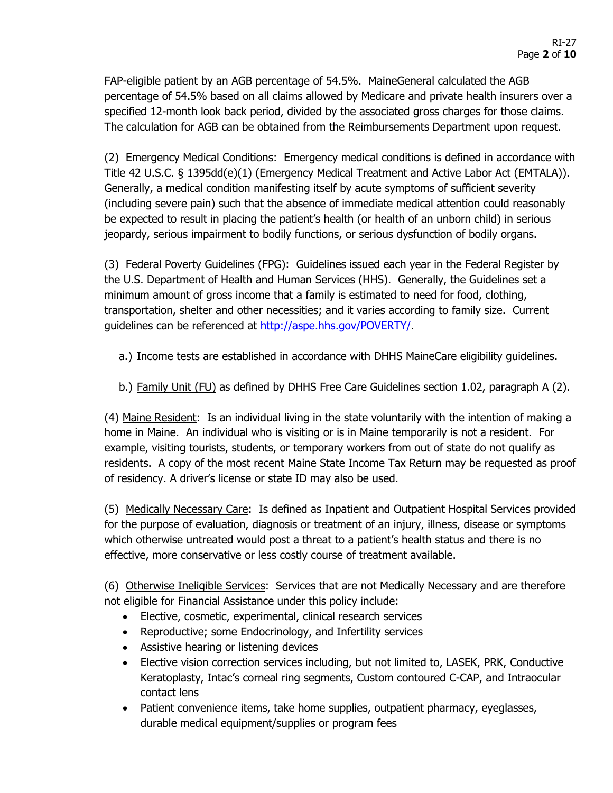FAP-eligible patient by an AGB percentage of 54.5%. MaineGeneral calculated the AGB percentage of 54.5% based on all claims allowed by Medicare and private health insurers over a specified 12-month look back period, divided by the associated gross charges for those claims. The calculation for AGB can be obtained from the Reimbursements Department upon request.

(2) Emergency Medical Conditions: Emergency medical conditions is defined in accordance with Title 42 U.S.C. § 1395dd(e)(1) (Emergency Medical Treatment and Active Labor Act (EMTALA)). Generally, a medical condition manifesting itself by acute symptoms of sufficient severity (including severe pain) such that the absence of immediate medical attention could reasonably be expected to result in placing the patient's health (or health of an unborn child) in serious jeopardy, serious impairment to bodily functions, or serious dysfunction of bodily organs.

(3) Federal Poverty Guidelines (FPG): Guidelines issued each year in the Federal Register by the U.S. Department of Health and Human Services (HHS). Generally, the Guidelines set a minimum amount of gross income that a family is estimated to need for food, clothing, transportation, shelter and other necessities; and it varies according to family size. Current guidelines can be referenced at [http://aspe.hhs.gov/POVERTY/.](http://aspe.hhs.gov/POVERTY/)

- a.) Income tests are established in accordance with DHHS MaineCare eligibility guidelines.
- b.) Family Unit (FU) as defined by DHHS Free Care Guidelines section 1.02, paragraph A (2).

(4) Maine Resident: Is an individual living in the state voluntarily with the intention of making a home in Maine. An individual who is visiting or is in Maine temporarily is not a resident. For example, visiting tourists, students, or temporary workers from out of state do not qualify as residents. A copy of the most recent Maine State Income Tax Return may be requested as proof of residency. A driver's license or state ID may also be used.

(5) Medically Necessary Care: Is defined as Inpatient and Outpatient Hospital Services provided for the purpose of evaluation, diagnosis or treatment of an injury, illness, disease or symptoms which otherwise untreated would post a threat to a patient's health status and there is no effective, more conservative or less costly course of treatment available.

(6) Otherwise Ineligible Services: Services that are not Medically Necessary and are therefore not eligible for Financial Assistance under this policy include:

- Elective, cosmetic, experimental, clinical research services
- Reproductive; some Endocrinology, and Infertility services
- Assistive hearing or listening devices
- Elective vision correction services including, but not limited to, LASEK, PRK, Conductive Keratoplasty, Intac's corneal ring segments, Custom contoured C-CAP, and Intraocular contact lens
- Patient convenience items, take home supplies, outpatient pharmacy, eyeglasses, durable medical equipment/supplies or program fees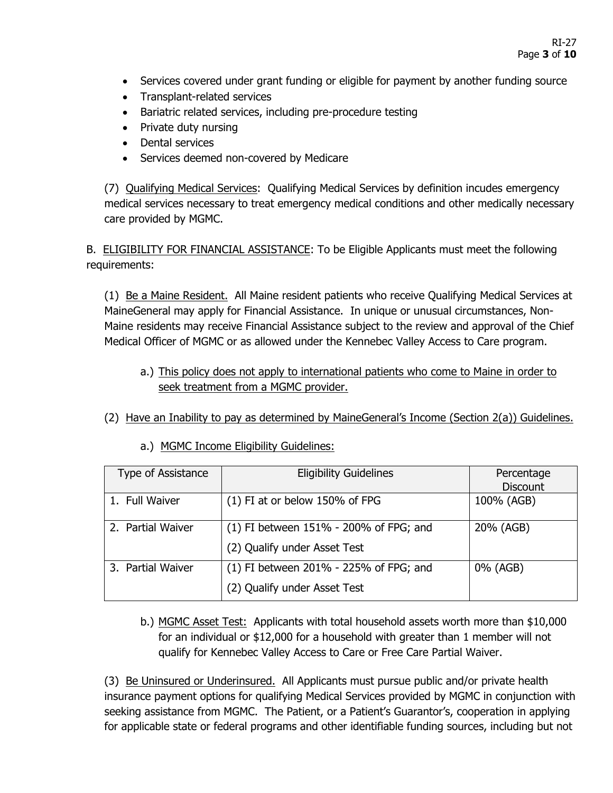- Services covered under grant funding or eligible for payment by another funding source
- Transplant-related services
- Bariatric related services, including pre-procedure testing
- Private duty nursing
- Dental services
- Services deemed non-covered by Medicare

(7) Qualifying Medical Services: Qualifying Medical Services by definition incudes emergency medical services necessary to treat emergency medical conditions and other medically necessary care provided by MGMC.

B. ELIGIBILITY FOR FINANCIAL ASSISTANCE: To be Eligible Applicants must meet the following requirements:

(1) Be a Maine Resident. All Maine resident patients who receive Qualifying Medical Services at MaineGeneral may apply for Financial Assistance. In unique or unusual circumstances, Non-Maine residents may receive Financial Assistance subject to the review and approval of the Chief Medical Officer of MGMC or as allowed under the Kennebec Valley Access to Care program.

- a.) This policy does not apply to international patients who come to Maine in order to seek treatment from a MGMC provider.
- (2) Have an Inability to pay as determined by MaineGeneral's Income (Section 2(a)) Guidelines.

| Type of Assistance | <b>Eligibility Guidelines</b>            | Percentage<br><b>Discount</b> |
|--------------------|------------------------------------------|-------------------------------|
| 1. Full Waiver     | $(1)$ FI at or below 150% of FPG         | 100% (AGB)                    |
| 2. Partial Waiver  | $(1)$ FI between 151% - 200% of FPG; and | 20% (AGB)                     |
|                    | (2) Qualify under Asset Test             |                               |
| 3. Partial Waiver  | $(1)$ FI between 201% - 225% of FPG; and | 0% (AGB)                      |
|                    | (2) Qualify under Asset Test             |                               |

a.) MGMC Income Eligibility Guidelines:

b.) MGMC Asset Test: Applicants with total household assets worth more than \$10,000 for an individual or \$12,000 for a household with greater than 1 member will not qualify for Kennebec Valley Access to Care or Free Care Partial Waiver.

(3) Be Uninsured or Underinsured. All Applicants must pursue public and/or private health insurance payment options for qualifying Medical Services provided by MGMC in conjunction with seeking assistance from MGMC. The Patient, or a Patient's Guarantor's, cooperation in applying for applicable state or federal programs and other identifiable funding sources, including but not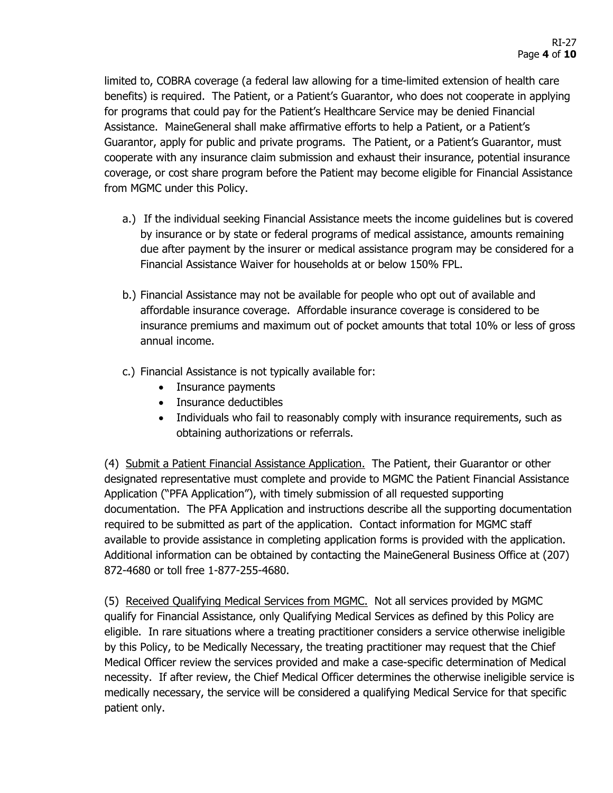limited to, COBRA coverage (a federal law allowing for a time-limited extension of health care benefits) is required. The Patient, or a Patient's Guarantor, who does not cooperate in applying for programs that could pay for the Patient's Healthcare Service may be denied Financial Assistance. MaineGeneral shall make affirmative efforts to help a Patient, or a Patient's Guarantor, apply for public and private programs. The Patient, or a Patient's Guarantor, must cooperate with any insurance claim submission and exhaust their insurance, potential insurance coverage, or cost share program before the Patient may become eligible for Financial Assistance from MGMC under this Policy.

- a.) If the individual seeking Financial Assistance meets the income guidelines but is covered by insurance or by state or federal programs of medical assistance, amounts remaining due after payment by the insurer or medical assistance program may be considered for a Financial Assistance Waiver for households at or below 150% FPL.
- b.) Financial Assistance may not be available for people who opt out of available and affordable insurance coverage. Affordable insurance coverage is considered to be insurance premiums and maximum out of pocket amounts that total 10% or less of gross annual income.
- c.) Financial Assistance is not typically available for:
	- Insurance payments
	- Insurance deductibles
	- Individuals who fail to reasonably comply with insurance requirements, such as obtaining authorizations or referrals.

(4) Submit a Patient Financial Assistance Application. The Patient, their Guarantor or other designated representative must complete and provide to MGMC the Patient Financial Assistance Application ("PFA Application"), with timely submission of all requested supporting documentation. The PFA Application and instructions describe all the supporting documentation required to be submitted as part of the application. Contact information for MGMC staff available to provide assistance in completing application forms is provided with the application. Additional information can be obtained by contacting the MaineGeneral Business Office at (207) 872-4680 or toll free 1-877-255-4680.

(5) Received Qualifying Medical Services from MGMC. Not all services provided by MGMC qualify for Financial Assistance, only Qualifying Medical Services as defined by this Policy are eligible. In rare situations where a treating practitioner considers a service otherwise ineligible by this Policy, to be Medically Necessary, the treating practitioner may request that the Chief Medical Officer review the services provided and make a case-specific determination of Medical necessity. If after review, the Chief Medical Officer determines the otherwise ineligible service is medically necessary, the service will be considered a qualifying Medical Service for that specific patient only.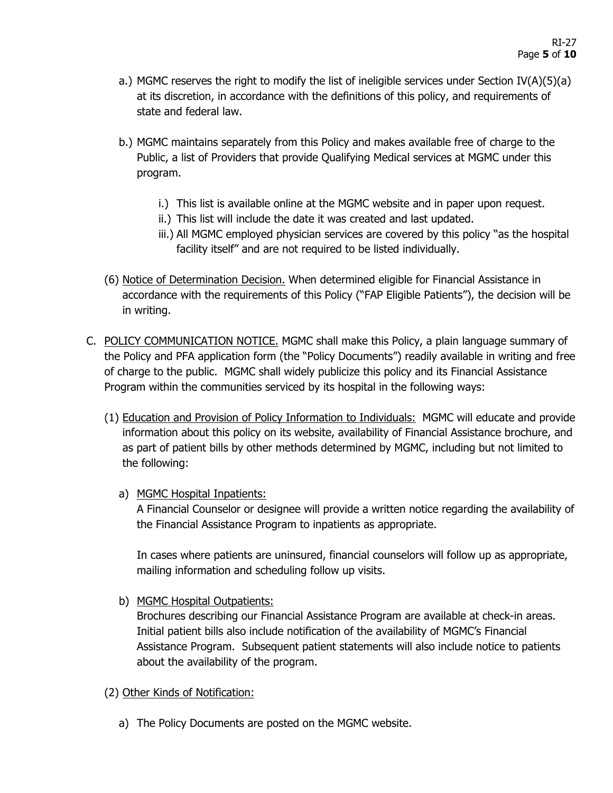- a.) MGMC reserves the right to modify the list of ineligible services under Section IV(A)(5)(a) at its discretion, in accordance with the definitions of this policy, and requirements of state and federal law.
- b.) MGMC maintains separately from this Policy and makes available free of charge to the Public, a list of Providers that provide Qualifying Medical services at MGMC under this program.
	- i.) This list is available online at the MGMC website and in paper upon request.
	- ii.) This list will include the date it was created and last updated.
	- iii.) All MGMC employed physician services are covered by this policy "as the hospital facility itself" and are not required to be listed individually.
- (6) Notice of Determination Decision. When determined eligible for Financial Assistance in accordance with the requirements of this Policy ("FAP Eligible Patients"), the decision will be in writing.
- C. POLICY COMMUNICATION NOTICE. MGMC shall make this Policy, a plain language summary of the Policy and PFA application form (the "Policy Documents") readily available in writing and free of charge to the public. MGMC shall widely publicize this policy and its Financial Assistance Program within the communities serviced by its hospital in the following ways:
	- (1) Education and Provision of Policy Information to Individuals: MGMC will educate and provide information about this policy on its website, availability of Financial Assistance brochure, and as part of patient bills by other methods determined by MGMC, including but not limited to the following:
		- a) MGMC Hospital Inpatients:

A Financial Counselor or designee will provide a written notice regarding the availability of the Financial Assistance Program to inpatients as appropriate.

In cases where patients are uninsured, financial counselors will follow up as appropriate, mailing information and scheduling follow up visits.

b) MGMC Hospital Outpatients:

Brochures describing our Financial Assistance Program are available at check-in areas. Initial patient bills also include notification of the availability of MGMC's Financial Assistance Program. Subsequent patient statements will also include notice to patients about the availability of the program.

- (2) Other Kinds of Notification:
	- a) The Policy Documents are posted on the MGMC website.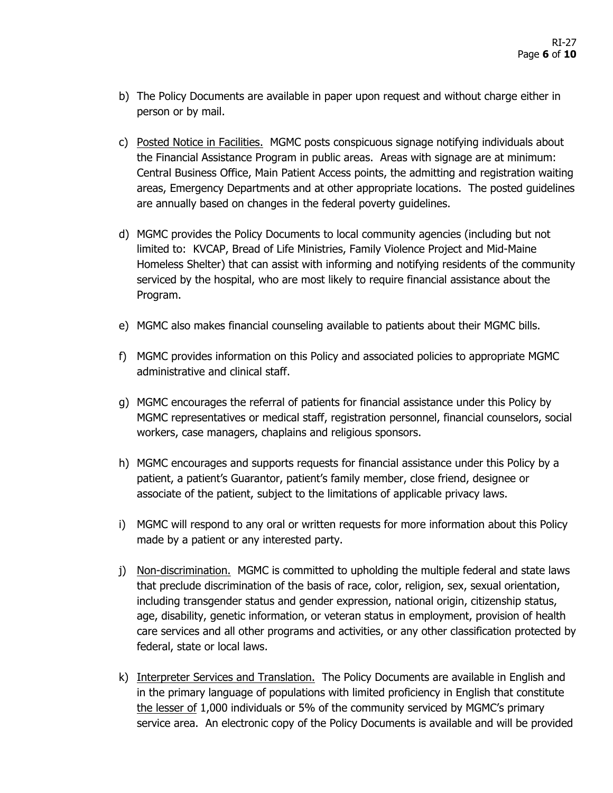- b) The Policy Documents are available in paper upon request and without charge either in person or by mail.
- c) Posted Notice in Facilities. MGMC posts conspicuous signage notifying individuals about the Financial Assistance Program in public areas. Areas with signage are at minimum: Central Business Office, Main Patient Access points, the admitting and registration waiting areas, Emergency Departments and at other appropriate locations. The posted guidelines are annually based on changes in the federal poverty guidelines.
- d) MGMC provides the Policy Documents to local community agencies (including but not limited to: KVCAP, Bread of Life Ministries, Family Violence Project and Mid-Maine Homeless Shelter) that can assist with informing and notifying residents of the community serviced by the hospital, who are most likely to require financial assistance about the Program.
- e) MGMC also makes financial counseling available to patients about their MGMC bills.
- f) MGMC provides information on this Policy and associated policies to appropriate MGMC administrative and clinical staff.
- g) MGMC encourages the referral of patients for financial assistance under this Policy by MGMC representatives or medical staff, registration personnel, financial counselors, social workers, case managers, chaplains and religious sponsors.
- h) MGMC encourages and supports requests for financial assistance under this Policy by a patient, a patient's Guarantor, patient's family member, close friend, designee or associate of the patient, subject to the limitations of applicable privacy laws.
- i) MGMC will respond to any oral or written requests for more information about this Policy made by a patient or any interested party.
- j) Non-discrimination. MGMC is committed to upholding the multiple federal and state laws that preclude discrimination of the basis of race, color, religion, sex, sexual orientation, including transgender status and gender expression, national origin, citizenship status, age, disability, genetic information, or veteran status in employment, provision of health care services and all other programs and activities, or any other classification protected by federal, state or local laws.
- k) Interpreter Services and Translation. The Policy Documents are available in English and in the primary language of populations with limited proficiency in English that constitute the lesser of 1,000 individuals or 5% of the community serviced by MGMC's primary service area. An electronic copy of the Policy Documents is available and will be provided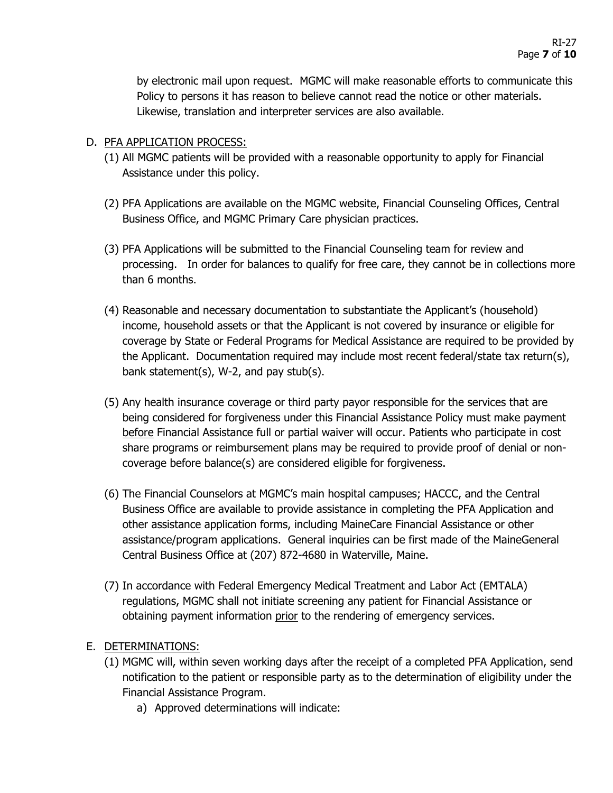by electronic mail upon request. MGMC will make reasonable efforts to communicate this Policy to persons it has reason to believe cannot read the notice or other materials. Likewise, translation and interpreter services are also available.

### D. PFA APPLICATION PROCESS:

- (1) All MGMC patients will be provided with a reasonable opportunity to apply for Financial Assistance under this policy.
- (2) PFA Applications are available on the MGMC website, Financial Counseling Offices, Central Business Office, and MGMC Primary Care physician practices.
- (3) PFA Applications will be submitted to the Financial Counseling team for review and processing. In order for balances to qualify for free care, they cannot be in collections more than 6 months.
- (4) Reasonable and necessary documentation to substantiate the Applicant's (household) income, household assets or that the Applicant is not covered by insurance or eligible for coverage by State or Federal Programs for Medical Assistance are required to be provided by the Applicant. Documentation required may include most recent federal/state tax return(s), bank statement(s), W-2, and pay stub(s).
- (5) Any health insurance coverage or third party payor responsible for the services that are being considered for forgiveness under this Financial Assistance Policy must make payment before Financial Assistance full or partial waiver will occur. Patients who participate in cost share programs or reimbursement plans may be required to provide proof of denial or noncoverage before balance(s) are considered eligible for forgiveness.
- (6) The Financial Counselors at MGMC's main hospital campuses; HACCC, and the Central Business Office are available to provide assistance in completing the PFA Application and other assistance application forms, including MaineCare Financial Assistance or other assistance/program applications. General inquiries can be first made of the MaineGeneral Central Business Office at (207) 872-4680 in Waterville, Maine.
- (7) In accordance with Federal Emergency Medical Treatment and Labor Act (EMTALA) regulations, MGMC shall not initiate screening any patient for Financial Assistance or obtaining payment information prior to the rendering of emergency services.

#### E. DETERMINATIONS:

- (1) MGMC will, within seven working days after the receipt of a completed PFA Application, send notification to the patient or responsible party as to the determination of eligibility under the Financial Assistance Program.
	- a) Approved determinations will indicate: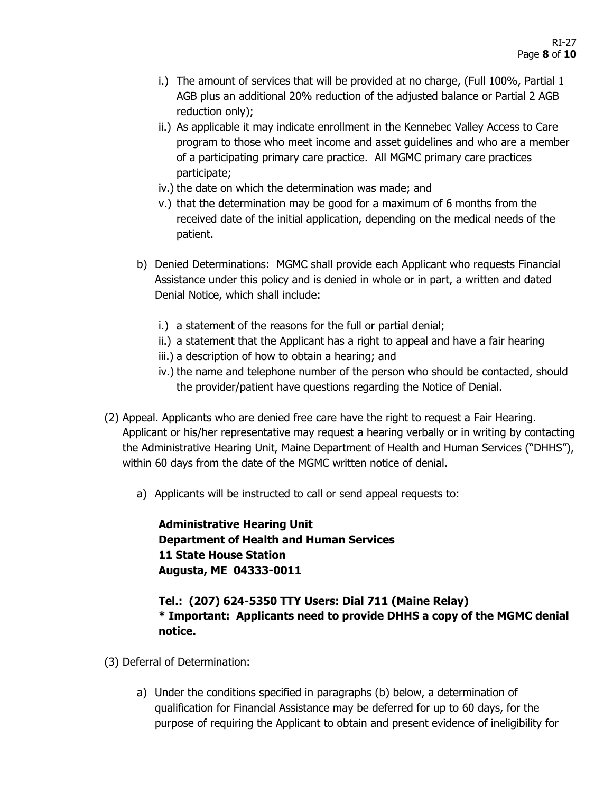- i.) The amount of services that will be provided at no charge, (Full 100%, Partial 1 AGB plus an additional 20% reduction of the adjusted balance or Partial 2 AGB reduction only);
- ii.) As applicable it may indicate enrollment in the Kennebec Valley Access to Care program to those who meet income and asset guidelines and who are a member of a participating primary care practice. All MGMC primary care practices participate;
- iv.) the date on which the determination was made; and
- v.) that the determination may be good for a maximum of 6 months from the received date of the initial application, depending on the medical needs of the patient.
- b) Denied Determinations: MGMC shall provide each Applicant who requests Financial Assistance under this policy and is denied in whole or in part, a written and dated Denial Notice, which shall include:
	- i.) a statement of the reasons for the full or partial denial;
	- ii.) a statement that the Applicant has a right to appeal and have a fair hearing
	- iii.) a description of how to obtain a hearing; and
	- iv.) the name and telephone number of the person who should be contacted, should the provider/patient have questions regarding the Notice of Denial.
- (2) Appeal. Applicants who are denied free care have the right to request a Fair Hearing. Applicant or his/her representative may request a hearing verbally or in writing by contacting the Administrative Hearing Unit, Maine Department of Health and Human Services ("DHHS"), within 60 days from the date of the MGMC written notice of denial.
	- a) Applicants will be instructed to call or send appeal requests to:

**Administrative Hearing Unit Department of Health and Human Services 11 State House Station Augusta, ME 04333-0011**

### **Tel.: (207) 624-5350 TTY Users: Dial 711 (Maine Relay) \* Important: Applicants need to provide DHHS a copy of the MGMC denial notice.**

- (3) Deferral of Determination:
	- a) Under the conditions specified in paragraphs (b) below, a determination of qualification for Financial Assistance may be deferred for up to 60 days, for the purpose of requiring the Applicant to obtain and present evidence of ineligibility for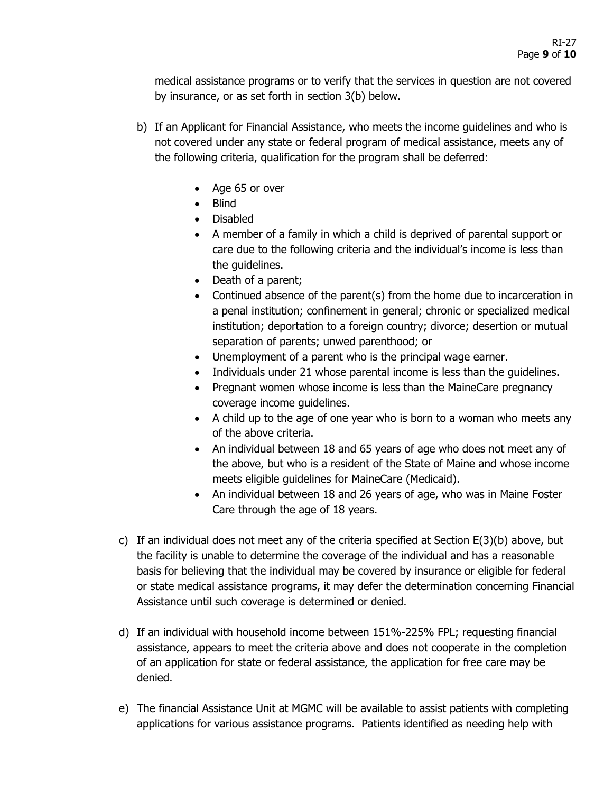medical assistance programs or to verify that the services in question are not covered by insurance, or as set forth in section 3(b) below.

- b) If an Applicant for Financial Assistance, who meets the income guidelines and who is not covered under any state or federal program of medical assistance, meets any of the following criteria, qualification for the program shall be deferred:
	- Age 65 or over
	- Blind
	- Disabled
	- A member of a family in which a child is deprived of parental support or care due to the following criteria and the individual's income is less than the guidelines.
	- Death of a parent;
	- Continued absence of the parent(s) from the home due to incarceration in a penal institution; confinement in general; chronic or specialized medical institution; deportation to a foreign country; divorce; desertion or mutual separation of parents; unwed parenthood; or
	- Unemployment of a parent who is the principal wage earner.
	- Individuals under 21 whose parental income is less than the guidelines.
	- Pregnant women whose income is less than the MaineCare pregnancy coverage income guidelines.
	- A child up to the age of one year who is born to a woman who meets any of the above criteria.
	- An individual between 18 and 65 years of age who does not meet any of the above, but who is a resident of the State of Maine and whose income meets eligible guidelines for MaineCare (Medicaid).
	- An individual between 18 and 26 years of age, who was in Maine Foster Care through the age of 18 years.
- c) If an individual does not meet any of the criteria specified at Section  $E(3)(b)$  above, but the facility is unable to determine the coverage of the individual and has a reasonable basis for believing that the individual may be covered by insurance or eligible for federal or state medical assistance programs, it may defer the determination concerning Financial Assistance until such coverage is determined or denied.
- d) If an individual with household income between 151%-225% FPL; requesting financial assistance, appears to meet the criteria above and does not cooperate in the completion of an application for state or federal assistance, the application for free care may be denied.
- e) The financial Assistance Unit at MGMC will be available to assist patients with completing applications for various assistance programs. Patients identified as needing help with